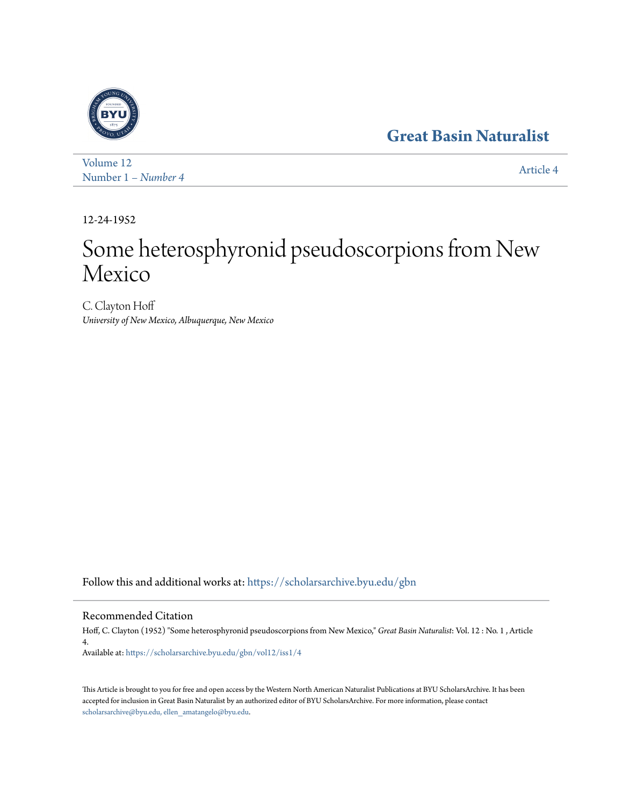# **[Great Basin Naturalist](https://scholarsarchive.byu.edu/gbn?utm_source=scholarsarchive.byu.edu%2Fgbn%2Fvol12%2Fiss1%2F4&utm_medium=PDF&utm_campaign=PDFCoverPages)**



[Volume 12](https://scholarsarchive.byu.edu/gbn/vol12?utm_source=scholarsarchive.byu.edu%2Fgbn%2Fvol12%2Fiss1%2F4&utm_medium=PDF&utm_campaign=PDFCoverPages) Number 1 *[– Number 4](https://scholarsarchive.byu.edu/gbn/vol12/iss1?utm_source=scholarsarchive.byu.edu%2Fgbn%2Fvol12%2Fiss1%2F4&utm_medium=PDF&utm_campaign=PDFCoverPages)* [Article 4](https://scholarsarchive.byu.edu/gbn/vol12/iss1/4?utm_source=scholarsarchive.byu.edu%2Fgbn%2Fvol12%2Fiss1%2F4&utm_medium=PDF&utm_campaign=PDFCoverPages)

12-24-1952

# Some heterosphyronid pseudoscorpions from New Mexico

C. Clayton Hoff *University of New Mexico, Albuquerque, New Mexico*

Follow this and additional works at: [https://scholarsarchive.byu.edu/gbn](https://scholarsarchive.byu.edu/gbn?utm_source=scholarsarchive.byu.edu%2Fgbn%2Fvol12%2Fiss1%2F4&utm_medium=PDF&utm_campaign=PDFCoverPages)

# Recommended Citation

Hoff, C. Clayton (1952) "Some heterosphyronid pseudoscorpions from New Mexico," *Great Basin Naturalist*: Vol. 12 : No. 1 , Article 4. Available at: [https://scholarsarchive.byu.edu/gbn/vol12/iss1/4](https://scholarsarchive.byu.edu/gbn/vol12/iss1/4?utm_source=scholarsarchive.byu.edu%2Fgbn%2Fvol12%2Fiss1%2F4&utm_medium=PDF&utm_campaign=PDFCoverPages)

This Article is brought to you for free and open access by the Western North American Naturalist Publications at BYU ScholarsArchive. It has been accepted for inclusion in Great Basin Naturalist by an authorized editor of BYU ScholarsArchive. For more information, please contact [scholarsarchive@byu.edu, ellen\\_amatangelo@byu.edu.](mailto:scholarsarchive@byu.edu,%20ellen_amatangelo@byu.edu)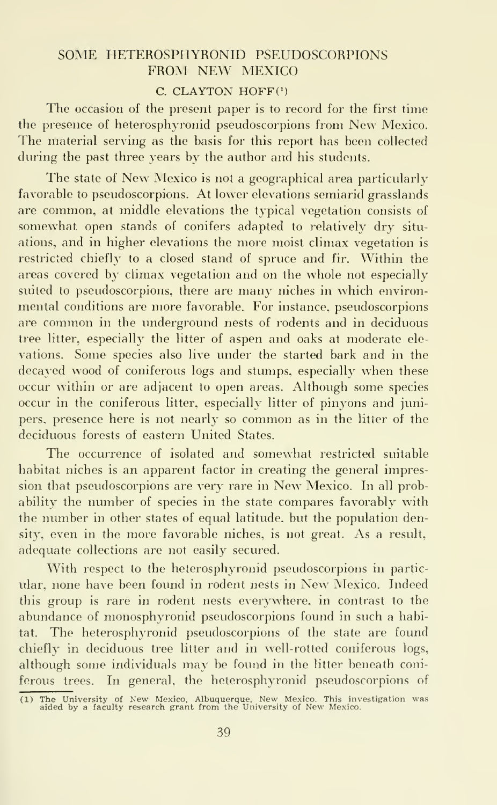### SOME HETEROSPHYRONID PSEUDOSCORPIONS FROM NEW MEXICO

#### $C. CLAYTON HOFF<sup>(1)</sup>$

The occasion of the present paper is to record for the first time the presence of heterosphyronid pseudoscorpions from New Mexico. The material serving as the basis for this report has been collected during the past three years by the author and his students.

The state of New Mexico is not a geographical area particularly favorable to pseudoscorpions. At lower elevations semiarid grasslands are common, at middle elevations the typical vegetation consists of somewhat open stands of conifers adapted to relatively dry situ ations, and in higher elevations the more moist climax vegetation is restricted chiefly to a closed stand of spruce and fir. Within the areas covered by climax vegetation and on the whole not especially suited to pseudoscorpions, there are many niches in which environmental conditions are more favorable. For instance, pseudoscorpions are common in the underground nests of rodents and in deciduous tree litter, especially the litter of aspen and oaks at moderate ele vations. Some species also live under the started bark and in the decayed wood of coniferous logs and stumps, especially when these occur within or are adjacent to open areas. Although some species occur in the coniferous litter, especially litter of pinyons and junipers, presence here is not nearly so common as in the litter of the deciduous forests of eastern United States.

The occurrence of isolated and somewhat restricted suitable habitat niches is an apparent factor in creating the general impression that pseudoscorpions are very rare in New Mexico. In all probability the number of species in the state compares favorably with the number in other states of equal latitude, but the population density, even in the more favorable niches, is not great. As a result, adequate collections are not easily secured.

With respect to the heterosphyronid pseudoscorpions in particular, none have been found in rodent nests in New Mexico. Indeed this group is rare in rodent nests everywhere, in contrast to the abundance of monosphyronid pseudoscorpions found in such a habitat. The heterosphyronid pseudoscorpions of the state are found chiefly in deciduous tree litter and in well-rotted coniferous logs, although some individuals may be found in the litter beneath coniferous trees. In general, the heterosphyronid pseudoscorpions of

<sup>(</sup> <sup>1</sup> » The University of New Mexico, Albuquerque, New Mexico. This investigation was aided by a faculty research grant from the University of New Mexico.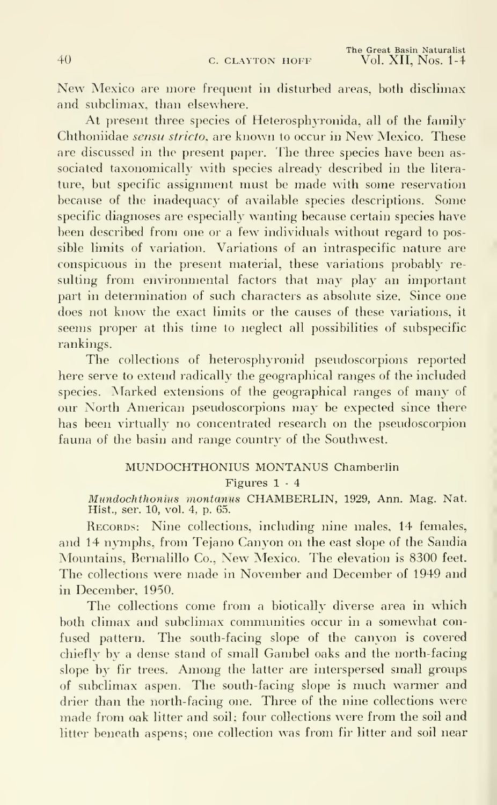New Mexico are more frequent in disturbed areas, both disclimax and subclimax, than elsewhere.

At present three species of Heterosphyronida, all of the family Chthoniidae sensu stricto. are known to occur in New Mexico. These are discussed in the present paper. The three species have been as sociated taxonomically with species already described in the litera ture, but specific assignment must be made with some reservation because of the inadequacy of available species descriptions. Some specific diagnoses are especially wanting because certain species have been described from one or a few individuals without regard to possible limits of variation. Variations of an intraspecific nature are conspicuous in the present material, these variations probably re sulting from environmental factors that may play an important part in determination of such characters as absolute size. Since one does not know the exact limits or the causes of these variations, it seems proper at this time to neglect all possibilities of subspecific rankings.

The collections of heterosphyronid pseudoscorpions reported here serve to extend radically the geographical ranges of the included species. Marked extensions of the geographical ranges of many of our North American pseudoscorpions may be expected since there has been virtually no concentrated research on the pseudoscorpion fauna of the basin and range country of the Southwest.

#### MUNDOCHTHONIUS MONTANUS Chamberlin

Figures 1 - 4

Mundochthonius montanus CHAMBERLIN, 1929, Ann. Mag. Nat. Hist., ser. 10, vol. 4, p. 65.

RECORDS: Nine collections, including nine males, 14 females, and 14 nymphs, from Tejano Canyon on the east slope of the Sandia Mountains, Bernalillo Co., New Mexico. The elevation is 8300 feet. The collections were made in November and December of 1949 and in December, 1950.

The collections come from a biotically diverse area in which both climax and subclimax communities occur in a somewhat con fused pattern. The south-facing slope of the canyon is covered chiefly by a dense stand of small Gambel oaks and the north-facing slope by fir trees. Among the latter are interspersed small groups of subclimax aspen. The south-facing slope is much warmer and drier than the north-facing one. Three of the nine collections were made from oak litter and soil; four collections were from the soil and litter beneath aspens; one collection was from fir litter and soil near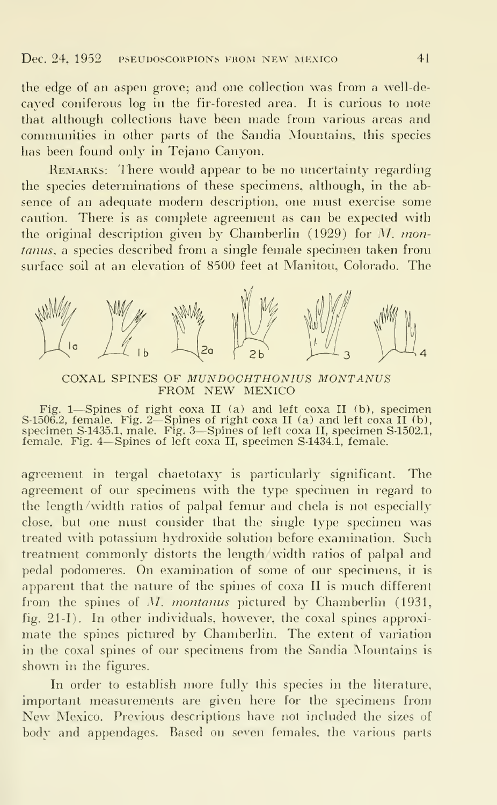the edge of an aspen grove; and one collection was from a well-decayed coniferous log in the fir- forested area. It is curious to note that although collections have been made from various areas and connnunities in other parts of the Sandia Mountains, this species has been found only in Tejano Canyon.

REMARKS: There would appear to be no uncertainty regarding the species determinations of these specimens, although, in the ab sence of an adequate modern description, one must exercise some caution. There is as complete agreement as can be expected with the original description given by Chamberlin (1929) for M. montanus, a species described from a single female specimen taken from surface soil at an elevation of 8500 feet at Manitou, Colorado. The



COXAL SPINES OF MUNDOCHTHONIUS MONTANUS FROM NEW MEXICO

Fig. <sup>1</sup>—Spines of right coxa II (a) and left coxa II (b), specimen S-1506.2, female. Fig. 2—Spines of right coxa II (a) and left coxa II (b), specimen S-1435.1, male. Fig. 3—Spines of left coxa II, specimen S-1502.1, female. Fig. <sup>4</sup>—Spines of left coxa II, specimen S-1434.1, female.

agreement in tergal chaetotaxy is particularly significant. The agreement of our specimens with the type specimen in regard to the length/width ratios of palpal femur and chela is not especially close, but one must consider that the single type specimen was treated with potassium hydroxide solution before examination. Such treatment commonly distorts the length/width ratios of palpal and pedal podomeres. On examination of some of our specimens, it is apparent that the nature of the spines of coxa II is much different from the spines of M. montanus pictured by Chamberlin (1931, fig.  $21-I$ ). In other individuals, however, the coxal spines approximate the spines pictured by Chamberlin. The extent of variation in the coxal spines of our specimens from the Sandia Mountains is shown in the figures.

In order to establish more fully this species in the literature, important measurements are given here for the specimens from New Mexico. Previous descriptions have not included the sizes of body and appendages. Based on seven females, the various parts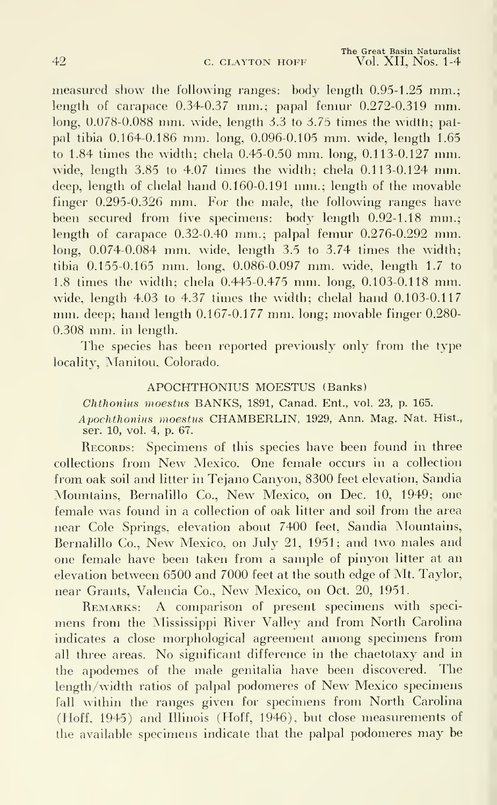measured show the following ranges: body length 0.95-1.25 mm.; length of carapace 0.34-0.37 mm.; papal femur 0.272-0.319 mm.  $\log$ , 0.078-0.088 mm. wide, length 3.3 to 3.75 times the width; palpal tibia 0.164-0.186 mm. long, 0.096-0.105 mm. wide, length 1.65 to 1.84 times the width; chela 0.45-0.50 mm. long, 0.113-0.127 mm. wide, length 3.85 to 4.07 times the width; chela 0.113-0.124 mm. deep, length of chelal hand 0.160-0.191 mm.; length of the movable finger 0.295-0.326 mm. For the male, the following ranges have been secured from five specimens: body length  $0.92\t{-}1.18$  mm.; length of carapace 0.32-0.40 mm.; palpal femur 0.276-0.292 mm. long, 0.074-0.084 mm. wide, length 3.5 to 3.74 times the width; tibia 0.155-0.165 mm. long, 0.086-0.097 mm. wide, length 1.7 to 1.8 times the width; chela 0.445-0.475 mm. long, 0.103-0.118 mm. wide, length 4.03 to 4.37 times the width; chelal hand 0.103-0.117 mm. deep; hand length 0.167-0.177 mm. long; movable finger 0.280- 0.308 mm. in length.

The species has been reported previously only from the type locality, Manitou, Colorado.

#### APOCHTHONIUS MOESTUS (Banks)

Chthonius moestus BANKS, 1891, Canad. Ent., vol. 23, p. 165.

Apochthonius moestus CHAMBERLIN, 1929, Ann. Mag. Nat. Hist., ser. 10, vol. 4, p. 67.

RECORDS: Specimens of this species have been found in three collections from New Mexico. One female occurs in <sup>a</sup> collection from oak soil and litter in Tejano Canyon, 8300 feet elevation, Sandia Mountains, Bernalillo Co., New Mexico, on Dec. 10, 1949; one female was found in a collection of oak litter and soil from the area near Cole Springs, elevation about 7400 feet, Sandia Mountains, Bernalillo Co., New Mexico, on July 21, 1951; and two males and one female have been taken from a sample of pinyon litter at an elevation between 6500 and 7000 feet at the south edge of Mt. Taylor, near Grants, Valencia Co., New Mexico, on Oct. 20, 1951.

REMARKS: A comparison of present specimens with specimens from the Mississippi River Valley and from North Carolina indicates a close morphological agreement among specimens from all three areas. No significant difference in the chaetotaxy and in the apodemes of the male genitalia have been discovered. The length/width ratios of palpal podomeres of New Mexico specimens fall within the ranges given for specimens from North Carolina (Iloff, 1945) and Illinois (Hoff, 1946), but close measurements of the available specimens indicate that the palpal podomeres may be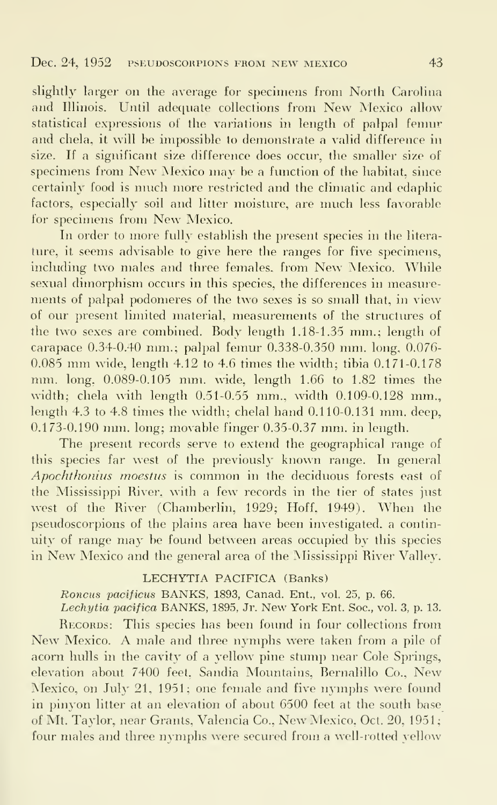slightly larger on the average for specimens from North Carolina and Illinois. Until adequate collections from New Mexico allow statistical expressions of the variations in length of palpal femur and chela, it will be impossible to demonstrate a valid difference in size. If a significant size difference does occur, the smaller size of specimens from New Mexico may be <sup>a</sup> function of the habitat, since certainly food is much more restricted and the climatic and edaphic factors, especially soil and litter moisture, are much less favorable for specimens from New Mexico.

In order to more fully establish the present species in the litera ture, it seems advisable to give here the ranges for five specimens, including two males and three females, from New Mexico. While sexual dimorphism occurs in this species, the differences in measure ments of palpal podomeres of the two sexes is so small that, in view of our present limited material, measurements of the structures of the two sexes are combined. Body length 1.18-1.35 mm.; length of carapace 0.34-0.40 mm.; palpal femur 0.338-0.350 mm. long, 0.076- 0.085 mm wide, length 4.12 to 4.6 times the width; tibia 0.171-0.178 mm. long, 0.089-0.105 mm. wide, length 1.66 to 1.82 times the width; chela with length  $0.51-0.55$  mm., width  $0.109-0.128$  mm. length 4.3 to 4.8 times the width; chelal hand 0.110-0.131 mm. deep, 0.173-0.190 mm. long; movable finger 0.35-0.37 mm. in length.

The present records serve to extend the geographical range of this species far west of the previously known range. In general Apochthonius moestus is common in the deciduous forests east of the Mississippi River, with a few records in the tier of states just west of the River (Chamberlin, 1929; Hoff, 1949). When the pseudoscorpions of the plains area have been investigated, a continuity of range may be found between areas occupied by this species in New Mexico and the general area of the Mississippi River Valley.

#### LECHYTIA PACIFICA (Banks)

Roncus pacificus BANKS, 1893, Canad. Ent., vol. 25, p. 66.

Lechytia pacifica BANKS, 1895, Jr. New York Ent. Soc., vol. 3, p. 13. RECORDS: This species has been found in four collections from New Mexico. A male and three nymphs were taken from <sup>a</sup> pile of acorn hulls in the cavity of a yellow pine stump near Cole Springs, elevation about 7400 feet, Sandia Mountains, Bernalillo Co., New Mexico, on July 21, 1951; one female and five nymphs were found in pinyon litter at an elevation of about 6500 feet at the south base of Mt. Taylor, near Grants, Valencia Co., New Mexico, Oct. 20, 1951; four males and three nymphs were secured from a well-rotted yellow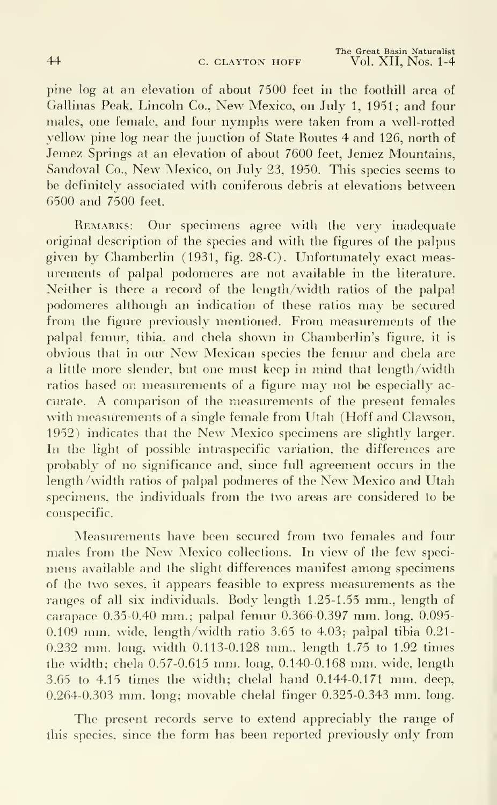pine log at an elevation of about 7500 feet in the foothill area of Gallinas Peak, Lincoln Co., New Mexico, on July 1, 1951; and four males, one female, and four nymphs were taken from <sup>a</sup> well-rotted yellow pine log near the junction of State Routes 4 and 126, north of Jemez Springs at an elevation of about 7600 feet, Jemez Mountains, Sandoval Co., New Mexico, on July 23, 1950. This species seems to be definitely associated with coniferous debris at elevations between 6500 and 7500 feet.

REMARKS: Our specimens agree with the very inadequate original description of the species and with the figures of the palpus given by Chamberlin (1931, fig. 28-C). Unfortunately exact meas urements of palpal podomeres are not available in the literature. Neither is there a record of the length/width ratios of the palpal podomeres although an indication of these ratios may be secured from the figure previously mentioned. From measurements of the palpal femur, tibia, and chela shown in Chamberlin's figure, it is obvious that in our New Mexican species the femur and chela are a little more slender, but one must keep in mind that length/width ratios based on measurements of <sup>a</sup> figure may not be especially ac curate. A comparison of the measurements of the present females with measurements of a single female from Utah (Hoff and Clawson, 1952) indicates that the New Mexico specimens are slightly larger. In the light of possible intraspecific variation, the differences are probably of no significance and, since full agreement occurs in the length /width ratios of palpal podmeres of the New Mexico and Utah specimens, the individuals from the two areas are considered to be conspecific.

Measurements have been secured from two females and four males from the New Mexico collections. In view of the few speci mens available and the slight differences manifest among specimens of the two sexes, it appears feasible to express measurements as the ranges of all six individuals. Rody length 1.25-1.55 mm., length of carapace 0.35-0.40 mm.; palpal femur 0.366-0.397 mm. long, 0.095- 0.109 mm. wide, length/width ratio 3.65 to 4.03; palpal tibia 0.21- 0.232 mm. long, width 0.113-0.128 mm., length 1.75 to 1.92 times the width; chela 0.57-0.615 mm. long, 0.140-0.168 mm. wide, length 3.65 to 4.15 times the wddth; chelal hand 0.144-0.171 mm. deep, 0,264-0.303 mm. long; movable chelal finger 0.325-0.343 mm. long.

The present records serve to extend appreciably the range of this species, since the form has been reported previously only from